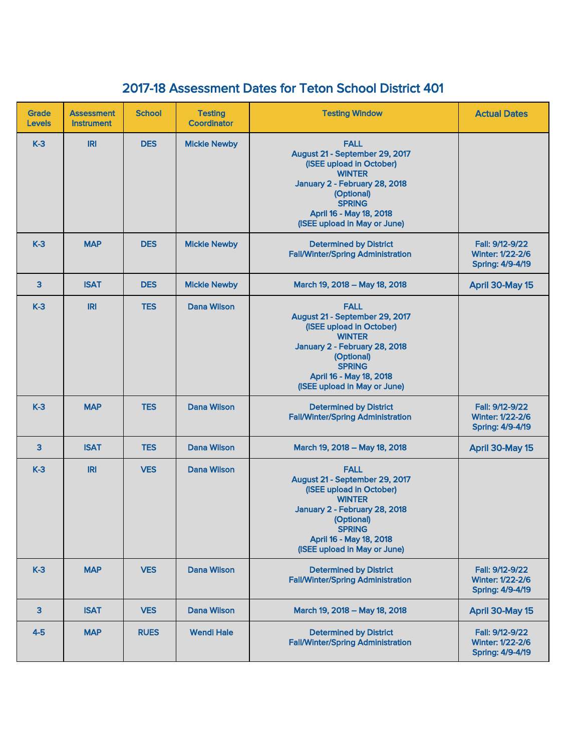## 2017-18 Assessment Dates for Teton School District 401

| Grade<br><b>Levels</b> | <b>Assessment</b><br><b>Instrument</b> | <b>School</b> | <b>Testing</b><br><b>Coordinator</b> | <b>Testing Window</b>                                                                                                                                                                                                 | <b>Actual Dates</b>                                                   |
|------------------------|----------------------------------------|---------------|--------------------------------------|-----------------------------------------------------------------------------------------------------------------------------------------------------------------------------------------------------------------------|-----------------------------------------------------------------------|
| $K-3$                  | <b>IRI</b>                             | <b>DES</b>    | <b>Mickie Newby</b>                  | <b>FALL</b><br>August 21 - September 29, 2017<br>(ISEE upload in October)<br><b>WINTER</b><br>January 2 - February 28, 2018<br>(Optional)<br><b>SPRING</b><br>April 16 - May 18, 2018<br>(ISEE upload in May or June) |                                                                       |
| $K-3$                  | <b>MAP</b>                             | <b>DES</b>    | <b>Mickie Newby</b>                  | <b>Determined by District</b><br><b>Fall/Winter/Spring Administration</b>                                                                                                                                             | Fall: 9/12-9/22<br><b>Winter: 1/22-2/6</b><br>Spring: 4/9-4/19        |
| 3                      | <b>ISAT</b>                            | <b>DES</b>    | <b>Mickie Newby</b>                  | March 19, 2018 - May 18, 2018                                                                                                                                                                                         | April 30-May 15                                                       |
| $K-3$                  | <b>IRI</b>                             | <b>TES</b>    | <b>Dana Wilson</b>                   | <b>FALL</b><br>August 21 - September 29, 2017<br>(ISEE upload in October)<br><b>WINTER</b><br>January 2 - February 28, 2018<br>(Optional)<br><b>SPRING</b><br>April 16 - May 18, 2018<br>(ISEE upload in May or June) |                                                                       |
| $K-3$                  | <b>MAP</b>                             | <b>TES</b>    | <b>Dana Wilson</b>                   | <b>Determined by District</b><br><b>Fall/Winter/Spring Administration</b>                                                                                                                                             | Fall: 9/12-9/22<br><b>Winter: 1/22-2/6</b><br><b>Spring: 4/9-4/19</b> |
| 3                      | <b>ISAT</b>                            | <b>TES</b>    | <b>Dana Wilson</b>                   | March 19, 2018 - May 18, 2018                                                                                                                                                                                         | April 30-May 15                                                       |
| $K-3$                  | <b>IRI</b>                             | <b>VES</b>    | <b>Dana Wilson</b>                   | <b>FALL</b><br>August 21 - September 29, 2017<br>(ISEE upload in October)<br><b>WINTER</b><br>January 2 - February 28, 2018<br>(Optional)<br><b>SPRING</b><br>April 16 - May 18, 2018<br>(ISEE upload in May or June) |                                                                       |
| $K-3$                  | <b>MAP</b>                             | <b>VES</b>    | <b>Dana Wilson</b>                   | <b>Determined by District</b><br><b>Fall/Winter/Spring Administration</b>                                                                                                                                             | Fall: 9/12-9/22<br><b>Winter: 1/22-2/6</b><br><b>Spring: 4/9-4/19</b> |
| 3                      | <b>ISAT</b>                            | <b>VES</b>    | <b>Dana Wilson</b>                   | March 19, 2018 - May 18, 2018                                                                                                                                                                                         | April 30-May 15                                                       |
| $4-5$                  | <b>MAP</b>                             | <b>RUES</b>   | <b>Wendi Hale</b>                    | <b>Determined by District</b><br><b>Fall/Winter/Spring Administration</b>                                                                                                                                             | Fall: 9/12-9/22<br><b>Winter: 1/22-2/6</b><br><b>Spring: 4/9-4/19</b> |